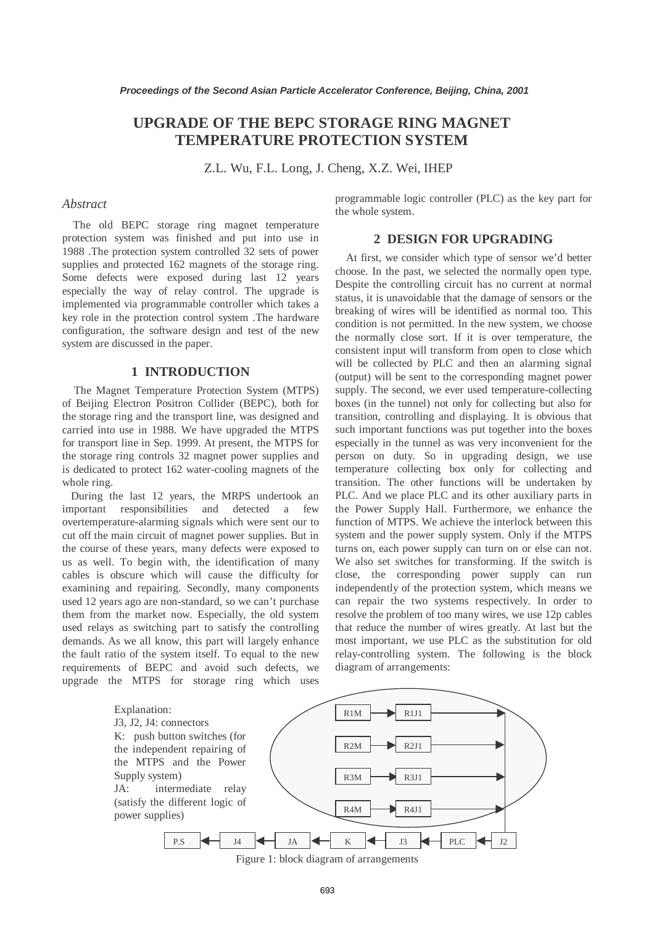# **UPGRADE OF THE BEPC STORAGE RING MAGNET TEMPERATURE PROTECTION SYSTEM**

Z.L. Wu, F.L. Long, J. Cheng, X.Z. Wei, IHEP

## *Abstract*

The old BEPC storage ring magnet temperature protection system was finished and put into use in 1988 .The protection system controlled 32 sets of power supplies and protected 162 magnets of the storage ring. Some defects were exposed during last 12 years especially the way of relay control. The upgrade is implemented via programmable controller which takes a key role in the protection control system .The hardware configuration, the software design and test of the new system are discussed in the paper.

## **1 INTRODUCTION**

The Magnet Temperature Protection System (MTPS) of Beijing Electron Positron Collider (BEPC), both for the storage ring and the transport line, was designed and carried into use in 1988. We have upgraded the MTPS for transport line in Sep. 1999. At present, the MTPS for the storage ring controls 32 magnet power supplies and is dedicated to protect 162 water-cooling magnets of the whole ring.

During the last 12 years, the MRPS undertook an important responsibilities and detected a few overtemperature-alarming signals which were sent our to cut off the main circuit of magnet power supplies. But in the course of these years, many defects were exposed to us as well. To begin with, the identification of many cables is obscure which will cause the difficulty for examining and repairing. Secondly, many components used 12 years ago are non-standard, so we can't purchase them from the market now. Especially, the old system used relays as switching part to satisfy the controlling demands. As we all know, this part will largely enhance the fault ratio of the system itself. To equal to the new requirements of BEPC and avoid such defects, we upgrade the MTPS for storage ring which uses programmable logic controller (PLC) as the key part for the whole system.

# **2 DESIGN FOR UPGRADING**

At first, we consider which type of sensor we'd better choose. In the past, we selected the normally open type. Despite the controlling circuit has no current at normal status, it is unavoidable that the damage of sensors or the breaking of wires will be identified as normal too. This condition is not permitted. In the new system, we choose the normally close sort. If it is over temperature, the consistent input will transform from open to close which will be collected by PLC and then an alarming signal (output) will be sent to the corresponding magnet power supply. The second, we ever used temperature-collecting boxes (in the tunnel) not only for collecting but also for transition, controlling and displaying. It is obvious that such important functions was put together into the boxes especially in the tunnel as was very inconvenient for the person on duty. So in upgrading design, we use temperature collecting box only for collecting and transition. The other functions will be undertaken by PLC. And we place PLC and its other auxiliary parts in the Power Supply Hall. Furthermore, we enhance the function of MTPS. We achieve the interlock between this system and the power supply system. Only if the MTPS turns on, each power supply can turn on or else can not. We also set switches for transforming. If the switch is close, the corresponding power supply can run independently of the protection system, which means we can repair the two systems respectively. In order to resolve the problem of too many wires, we use 12p cables that reduce the number of wires greatly. At last but the most important, we use PLC as the substitution for old relay-controlling system. The following is the block diagram of arrangements:



Figure 1: block diagram of arrangements